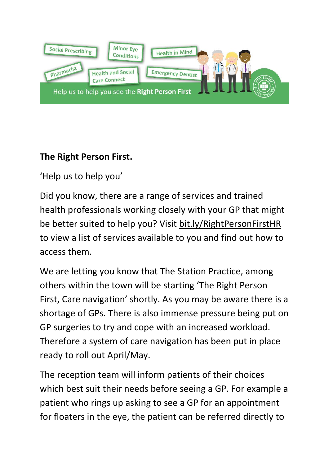

## **The Right Person First.**

'Help us to help you'

Did you know, there are a range of services and trained health professionals working closely with your GP that might be better suited to help you? Visit bit.ly/RightPersonFirstHR to view a list of services available to you and find out how to access them.

We are letting you know that The Station Practice, among others within the town will be starting 'The Right Person First, Care navigation' shortly. As you may be aware there is a shortage of GPs. There is also immense pressure being put on GP surgeries to try and cope with an increased workload. Therefore a system of care navigation has been put in place ready to roll out April/May.

The reception team will inform patients of their choices which best suit their needs before seeing a GP. For example a patient who rings up asking to see a GP for an appointment for floaters in the eye, the patient can be referred directly to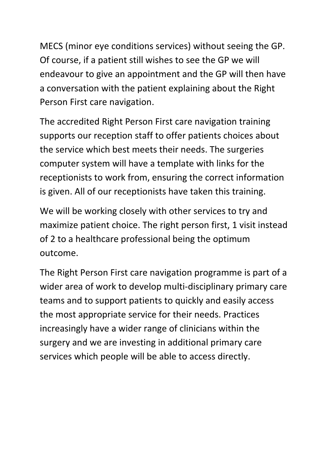MECS (minor eye conditions services) without seeing the GP. Of course, if a patient still wishes to see the GP we will endeavour to give an appointment and the GP will then have a conversation with the patient explaining about the Right Person First care navigation.

The accredited Right Person First care navigation training supports our reception staff to offer patients choices about the service which best meets their needs. The surgeries computer system will have a template with links for the receptionists to work from, ensuring the correct information is given. All of our receptionists have taken this training.

We will be working closely with other services to try and maximize patient choice. The right person first, 1 visit instead of 2 to a healthcare professional being the optimum outcome.

The Right Person First care navigation programme is part of a wider area of work to develop multi-disciplinary primary care teams and to support patients to quickly and easily access the most appropriate service for their needs. Practices increasingly have a wider range of clinicians within the surgery and we are investing in additional primary care services which people will be able to access directly.